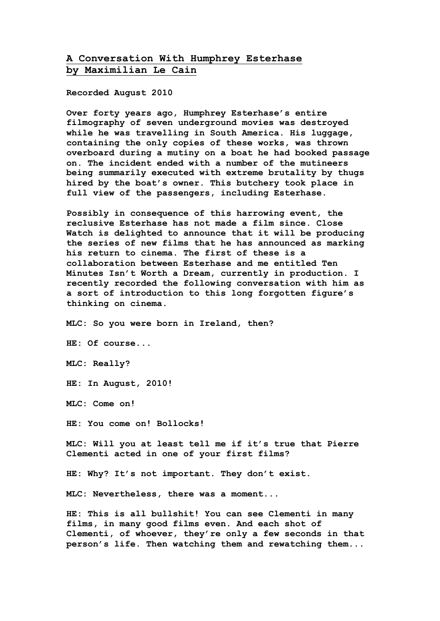## **A Conversation With Humphrey Esterhase by Maximilian Le Cain**

**Recorded August 2010**

**Over forty years ago, Humphrey Esterhase's entire filmography of seven underground movies was destroyed while he was travelling in South America. His luggage, containing the only copies of these works, was thrown overboard during a mutiny on a boat he had booked passage on. The incident ended with a number of the mutineers being summarily executed with extreme brutality by thugs hired by the boat's owner. This butchery took place in full view of the passengers, including Esterhase.**

**Possibly in consequence of this harrowing event, the reclusive Esterhase has not made a film since. Close Watch is delighted to announce that it will be producing the series of new films that he has announced as marking his return to cinema. The first of these is a collaboration between Esterhase and me entitled Ten Minutes Isn't Worth a Dream, currently in production. I recently recorded the following conversation with him as a sort of introduction to this long forgotten figure's thinking on cinema.**

**MLC: So you were born in Ireland, then?**

**HE: Of course...**

**MLC: Really?**

**HE: In August, 2010!**

**MLC: Come on!**

**HE: You come on! Bollocks!**

**MLC: Will you at least tell me if it's true that Pierre Clementi acted in one of your first films?**

**HE: Why? It's not important. They don't exist.**

**MLC: Nevertheless, there was a moment...**

**HE: This is all bullshit! You can see Clementi in many films, in many good films even. And each shot of Clementi, of whoever, they're only a few seconds in that person's life. Then watching them and rewatching them...**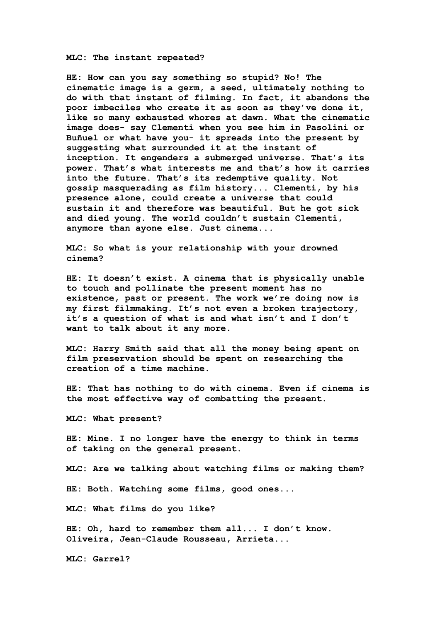**MLC: The instant repeated?**

**HE: How can you say something so stupid? No! The cinematic image is a germ, a seed, ultimately nothing to do with that instant of filming. In fact, it abandons the poor imbeciles who create it as soon as they've done it, like so many exhausted whores at dawn. What the cinematic image does- say Clementi when you see him in Pasolini or Buñuel or what have you- it spreads into the present by suggesting what surrounded it at the instant of inception. It engenders a submerged universe. That's its power. That's what interests me and that's how it carries into the future. That's its redemptive quality. Not gossip masquerading as film history... Clementi, by his presence alone, could create a universe that could sustain it and therefore was beautiful. But he got sick and died young. The world couldn't sustain Clementi, anymore than ayone else. Just cinema...**

**MLC: So what is your relationship with your drowned cinema?**

**HE: It doesn't exist. A cinema that is physically unable to touch and pollinate the present moment has no existence, past or present. The work we're doing now is my first filmmaking. It's not even a broken trajectory, it's a question of what is and what isn't and I don't want to talk about it any more.**

**MLC: Harry Smith said that all the money being spent on film preservation should be spent on researching the creation of a time machine.**

**HE: That has nothing to do with cinema. Even if cinema is the most effective way of combatting the present.**

**MLC: What present?**

**HE: Mine. I no longer have the energy to think in terms of taking on the general present.**

**MLC: Are we talking about watching films or making them?**

**HE: Both. Watching some films, good ones...**

**MLC: What films do you like?**

**HE: Oh, hard to remember them all... I don't know. Oliveira, Jean-Claude Rousseau, Arrieta...**

**MLC: Garrel?**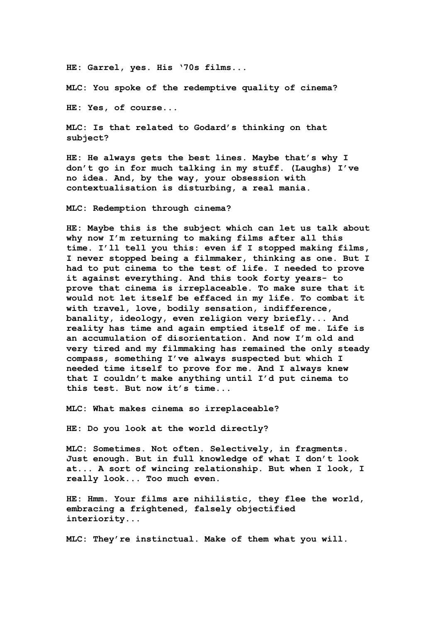**HE: Garrel, yes. His '70s films...**

**MLC: You spoke of the redemptive quality of cinema?**

**HE: Yes, of course...**

**MLC: Is that related to Godard's thinking on that subject?**

**HE: He always gets the best lines. Maybe that's why I don't go in for much talking in my stuff. (Laughs) I've no idea. And, by the way, your obsession with contextualisation is disturbing, a real mania.**

**MLC: Redemption through cinema?**

**HE: Maybe this is the subject which can let us talk about why now I'm returning to making films after all this time. I'll tell you this: even if I stopped making films, I never stopped being a filmmaker, thinking as one. But I had to put cinema to the test of life. I needed to prove it against everything. And this took forty years- to prove that cinema is irreplaceable. To make sure that it would not let itself be effaced in my life. To combat it with travel, love, bodily sensation, indifference, banality, ideology, even religion very briefly... And reality has time and again emptied itself of me. Life is an accumulation of disorientation. And now I'm old and very tired and my filmmaking has remained the only steady compass, something I've always suspected but which I needed time itself to prove for me. And I always knew that I couldn't make anything until I'd put cinema to this test. But now it's time...**

**MLC: What makes cinema so irreplaceable?**

**HE: Do you look at the world directly?**

**MLC: Sometimes. Not often. Selectively, in fragments. Just enough. But in full knowledge of what I don't look at... A sort of wincing relationship. But when I look, I really look... Too much even.**

**HE: Hmm. Your films are nihilistic, they flee the world, embracing a frightened, falsely objectified interiority...**

**MLC: They're instinctual. Make of them what you will.**